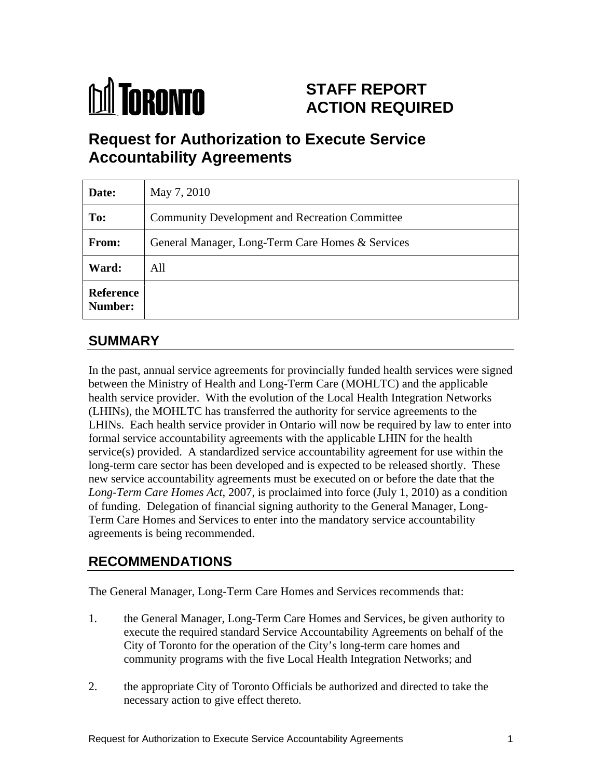

# **STAFF REPORT ACTION REQUIRED**

# **Request for Authorization to Execute Service Accountability Agreements**

| Date:                              | May 7, 2010                                      |
|------------------------------------|--------------------------------------------------|
| To:                                | Community Development and Recreation Committee   |
| <b>From:</b>                       | General Manager, Long-Term Care Homes & Services |
| Ward:                              | All                                              |
| <b>Reference</b><br><b>Number:</b> |                                                  |

## **SUMMARY**

In the past, annual service agreements for provincially funded health services were signed between the Ministry of Health and Long-Term Care (MOHLTC) and the applicable health service provider. With the evolution of the Local Health Integration Networks (LHINs), the MOHLTC has transferred the authority for service agreements to the LHINs. Each health service provider in Ontario will now be required by law to enter into formal service accountability agreements with the applicable LHIN for the health service(s) provided. A standardized service accountability agreement for use within the long-term care sector has been developed and is expected to be released shortly. These new service accountability agreements must be executed on or before the date that the *Long-Term Care Homes Act*, 2007, is proclaimed into force (July 1, 2010) as a condition of funding. Delegation of financial signing authority to the General Manager, Long- Term Care Homes and Services to enter into the mandatory service accountability agreements is being recommended.

# **RECOMMENDATIONS**

The General Manager, Long-Term Care Homes and Services recommends that:

- 1. the General Manager, Long-Term Care Homes and Services, be given authority to execute the required standard Service Accountability Agreements on behalf of the City of Toronto for the operation of the City's long-term care homes and community programs with the five Local Health Integration Networks; and
- 2. the appropriate City of Toronto Officials be authorized and directed to take the necessary action to give effect thereto.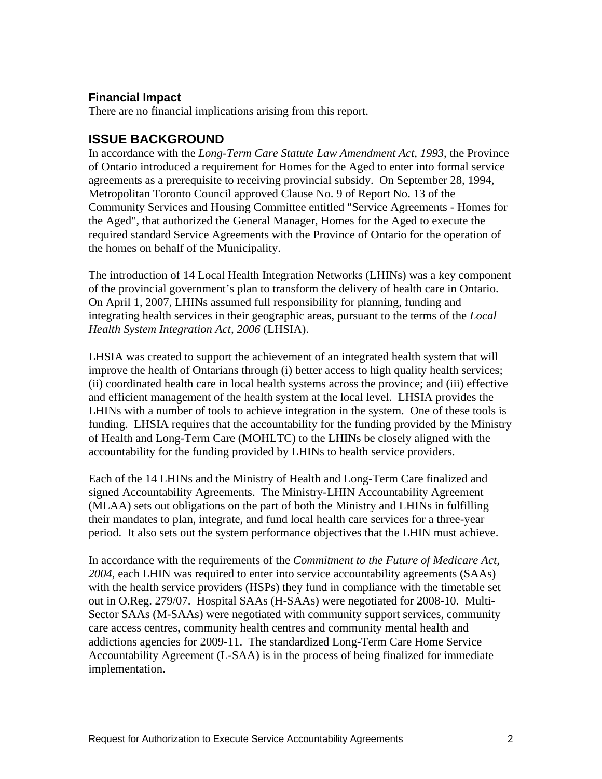#### **Financial Impact**

There are no financial implications arising from this report.

### **ISSUE BACKGROUND**

In accordance with the *Long-Term Care Statute Law Amendment Act, 1993*, the Province of Ontario introduced a requirement for Homes for the Aged to enter into formal service agreements as a prerequisite to receiving provincial subsidy. On September 28, 1994, Metropolitan Toronto Council approved Clause No. 9 of Report No. 13 of the Community Services and Housing Committee entitled "Service Agreements - Homes for the Aged", that authorized the General Manager, Homes for the Aged to execute the required standard Service Agreements with the Province of Ontario for the operation of the homes on behalf of the Municipality.

The introduction of 14 Local Health Integration Networks (LHINs) was a key component of the provincial government's plan to transform the delivery of health care in Ontario. On April 1, 2007, LHINs assumed full responsibility for planning, funding and integrating health services in their geographic areas, pursuant to the terms of the *Local Health System Integration Act, 2006* (LHSIA).

LHSIA was created to support the achievement of an integrated health system that will improve the health of Ontarians through (i) better access to high quality health services; (ii) coordinated health care in local health systems across the province; and (iii) effective and efficient management of the health system at the local level. LHSIA provides the LHINs with a number of tools to achieve integration in the system. One of these tools is funding. LHSIA requires that the accountability for the funding provided by the Ministry of Health and Long-Term Care (MOHLTC) to the LHINs be closely aligned with the accountability for the funding provided by LHINs to health service providers.

Each of the 14 LHINs and the Ministry of Health and Long-Term Care finalized and signed Accountability Agreements. The Ministry-LHIN Accountability Agreement (MLAA) sets out obligations on the part of both the Ministry and LHINs in fulfilling their mandates to plan, integrate, and fund local health care services for a three-year period. It also sets out the system performance objectives that the LHIN must achieve.

In accordance with the requirements of the *Commitment to the Future of Medicare Act, 2004*, each LHIN was required to enter into service accountability agreements (SAAs) with the health service providers (HSPs) they fund in compliance with the timetable set out in O.Reg. 279/07. Hospital SAAs (H-SAAs) were negotiated for 2008-10. Multi- Sector SAAs (M-SAAs) were negotiated with community support services, community care access centres, community health centres and community mental health and addictions agencies for 2009-11. The standardized Long-Term Care Home Service Accountability Agreement (L-SAA) is in the process of being finalized for immediate implementation.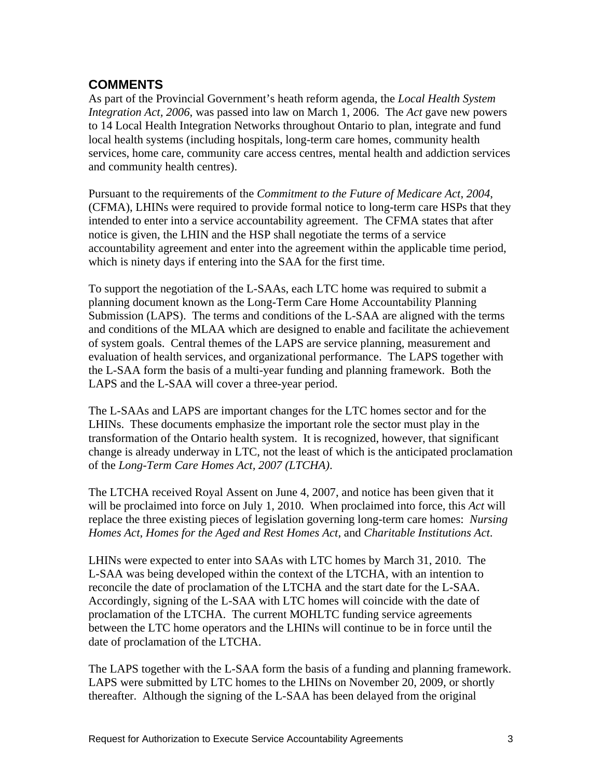## **COMMENTS**

As part of the Provincial Government's heath reform agenda, the *Local Health System Integration Act, 2006*, was passed into law on March 1, 2006. The *Act* gave new powers to 14 Local Health Integration Networks throughout Ontario to plan, integrate and fund local health systems (including hospitals, long-term care homes, community health services, home care, community care access centres, mental health and addiction services and community health centres).

Pursuant to the requirements of the *Commitment to the Future of Medicare Act*, *<sup>2004</sup>*, (CFMA), LHINs were required to provide formal notice to long-term care HSPs that they intended to enter into a service accountability agreement. The CFMA states that after notice is given, the LHIN and the HSP shall negotiate the terms of a service accountability agreement and enter into the agreement within the applicable time period, which is ninety days if entering into the SAA for the first time.

To support the negotiation of the L-SAAs, each LTC home was required to submit a planning document known as the Long-Term Care Home Accountability Planning Submission (LAPS). The terms and conditions of the L-SAA are aligned with the terms and conditions of the MLAA which are designed to enable and facilitate the achievement of system goals. Central themes of the LAPS are service planning, measurement and evaluation of health services, and organizational performance. The LAPS together with the L-SAA form the basis of a multi-year funding and planning framework. Both the LAPS and the L-SAA will cover a three-year period.

The L-SAAs and LAPS are important changes for the LTC homes sector and for the LHINs. These documents emphasize the important role the sector must play in the transformation of the Ontario health system. It is recognized, however, that significant change is already underway in LTC, not the least of which is the anticipated proclamation

of the *Long-Term Care Homes Act, 2007 (LTCHA)*.<br>The LTCHA received Royal Assent on June 4, 2007, and notice has been given that it will be proclaimed into force on July 1, 2010. When proclaimed into force, this *Act* will replace the three existing pieces of legislation governing long-term care homes: *Nursing Homes Act*, *Homes for the Aged and Rest Homes Act*, and *Charitable Institutions Act*. LHINs were expected to enter into SAAs with LTC homes by March 31, 2010. The

L-SAA was being developed within the context of the LTCHA, with an intention to reconcile the date of proclamation of the LTCHA and the start date for the L-SAA. Accordingly, signing of the L-SAA with LTC homes will coincide with the date of proclamation of the LTCHA. The current MOHLTC funding service agreements between the LTC home operators and the LHINs will continue to be in force until the date of proclamation of the LTCHA.

The LAPS together with the L-SAA form the basis of a funding and planning framework. LAPS were submitted by LTC homes to the LHINs on November 20, 2009, or shortly thereafter. Although the signing of the L-SAA has been delayed from the original